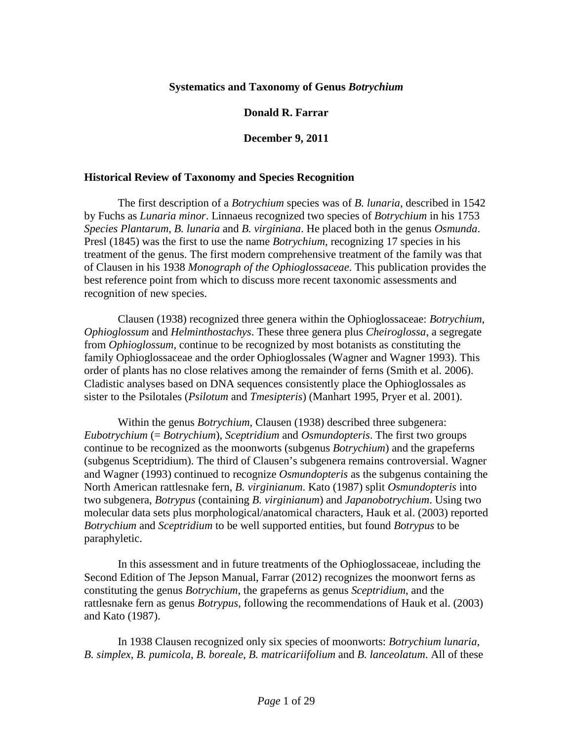### **Systematics and Taxonomy of Genus** *Botrychium*

### **Donald R. Farrar**

### **December 9, 2011**

### **Historical Review of Taxonomy and Species Recognition**

The first description of a *Botrychium* species was of *B. lunaria*, described in 1542 by Fuchs as *Lunaria minor*. Linnaeus recognized two species of *Botrychium* in his 1753 *Species Plantarum*, *B. lunaria* and *B. virginiana*. He placed both in the genus *Osmunda*. Presl (1845) was the first to use the name *Botrychium*, recognizing 17 species in his treatment of the genus. The first modern comprehensive treatment of the family was that of Clausen in his 1938 *Monograph of the Ophioglossaceae*. This publication provides the best reference point from which to discuss more recent taxonomic assessments and recognition of new species.

Clausen (1938) recognized three genera within the Ophioglossaceae: *Botrychium*, *Ophioglossum* and *Helminthostachys*. These three genera plus *Cheiroglossa*, a segregate from *Ophioglossum*, continue to be recognized by most botanists as constituting the family Ophioglossaceae and the order Ophioglossales (Wagner and Wagner 1993). This order of plants has no close relatives among the remainder of ferns (Smith et al. 2006). Cladistic analyses based on DNA sequences consistently place the Ophioglossales as sister to the Psilotales (*Psilotum* and *Tmesipteris*) (Manhart 1995, Pryer et al. 2001).

Within the genus *Botrychium*, Clausen (1938) described three subgenera: *Eubotrychium* (= *Botrychium*), *Sceptridium* and *Osmundopteris*. The first two groups continue to be recognized as the moonworts (subgenus *Botrychium*) and the grapeferns (subgenus Sceptridium). The third of Clausen's subgenera remains controversial. Wagner and Wagner (1993) continued to recognize *Osmundopteris* as the subgenus containing the North American rattlesnake fern, *B. virginianum*. Kato (1987) split *Osmundopteris* into two subgenera, *Botrypus* (containing *B. virginianum*) and *Japanobotrychium*. Using two molecular data sets plus morphological/anatomical characters, Hauk et al. (2003) reported *Botrychium* and *Sceptridium* to be well supported entities, but found *Botrypus* to be paraphyletic.

In this assessment and in future treatments of the Ophioglossaceae, including the Second Edition of The Jepson Manual, Farrar (2012) recognizes the moonwort ferns as constituting the genus *Botrychium*, the grapeferns as genus *Sceptridium*, and the rattlesnake fern as genus *Botrypus*, following the recommendations of Hauk et al. (2003) and Kato (1987).

In 1938 Clausen recognized only six species of moonworts: *Botrychium lunaria*, *B. simplex*, *B. pumicola*, *B. boreale*, *B. matricariifolium* and *B. lanceolatum*. All of these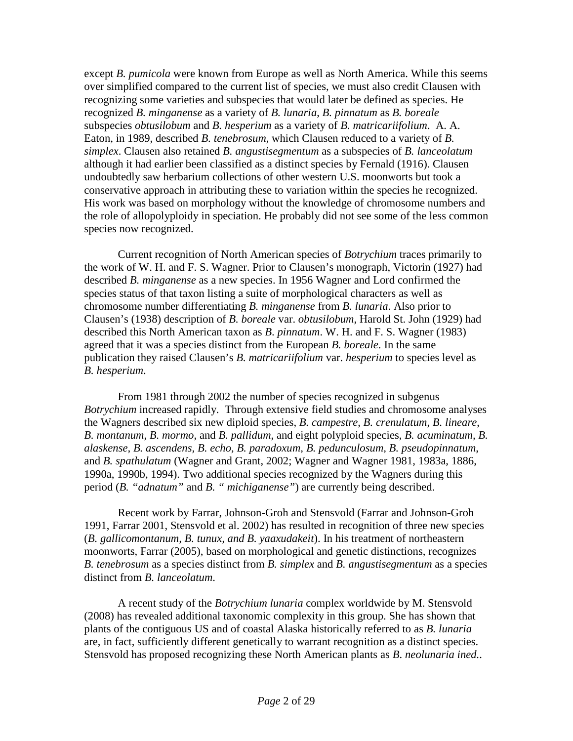except *B. pumicola* were known from Europe as well as North America. While this seems over simplified compared to the current list of species, we must also credit Clausen with recognizing some varieties and subspecies that would later be defined as species. He recognized *B. minganense* as a variety of *B. lunaria*, *B. pinnatum* as *B. boreale* subspecies *obtusilobum* and *B. hesperium* as a variety of *B. matricariifolium*. A. A. Eaton, in 1989, described *B. tenebrosum*, which Clausen reduced to a variety of *B. simplex*. Clausen also retained *B. angustisegmentum* as a subspecies of *B. lanceolatum* although it had earlier been classified as a distinct species by Fernald (1916). Clausen undoubtedly saw herbarium collections of other western U.S. moonworts but took a conservative approach in attributing these to variation within the species he recognized. His work was based on morphology without the knowledge of chromosome numbers and the role of allopolyploidy in speciation. He probably did not see some of the less common species now recognized.

Current recognition of North American species of *Botrychium* traces primarily to the work of W. H. and F. S. Wagner. Prior to Clausen's monograph, Victorin (1927) had described *B. minganense* as a new species. In 1956 Wagner and Lord confirmed the species status of that taxon listing a suite of morphological characters as well as chromosome number differentiating *B. minganense* from *B. lunaria*. Also prior to Clausen's (1938) description of *B. boreale* var. *obtusilobum*, Harold St. John (1929) had described this North American taxon as *B*. *pinnatum*. W. H. and F. S. Wagner (1983) agreed that it was a species distinct from the European *B. boreale*. In the same publication they raised Clausen's *B. matricariifolium* var. *hesperium* to species level as *B. hesperium*.

From 1981 through 2002 the number of species recognized in subgenus *Botrychium* increased rapidly. Through extensive field studies and chromosome analyses the Wagners described six new diploid species, *B. campestre*, *B. crenulatum*, *B. lineare*, *B. montanum*, *B. mormo*, and *B. pallidum*, and eight polyploid species, *B. acuminatum, B. alaskense, B. ascendens, B. echo, B. paradoxum, B. pedunculosum, B. pseudopinnatum*, and *B. spathulatum* (Wagner and Grant, 2002; Wagner and Wagner 1981, 1983a, 1886, 1990a, 1990b, 1994). Two additional species recognized by the Wagners during this period (*B. "adnatum"* and *B. " michiganense"*) are currently being described.

Recent work by Farrar, Johnson-Groh and Stensvold (Farrar and Johnson-Groh 1991, Farrar 2001, Stensvold et al. 2002) has resulted in recognition of three new species (*B. gallicomontanum, B. tunux, and B. yaaxudakeit*). In his treatment of northeastern moonworts, Farrar (2005), based on morphological and genetic distinctions, recognizes *B. tenebrosum* as a species distinct from *B. simplex* and *B. angustisegmentum* as a species distinct from *B. lanceolatum*.

A recent study of the *Botrychium lunaria* complex worldwide by M. Stensvold (2008) has revealed additional taxonomic complexity in this group. She has shown that plants of the contiguous US and of coastal Alaska historically referred to as *B. lunaria* are, in fact, sufficiently different genetically to warrant recognition as a distinct species. Stensvold has proposed recognizing these North American plants as *B*. *neolunaria ined.*.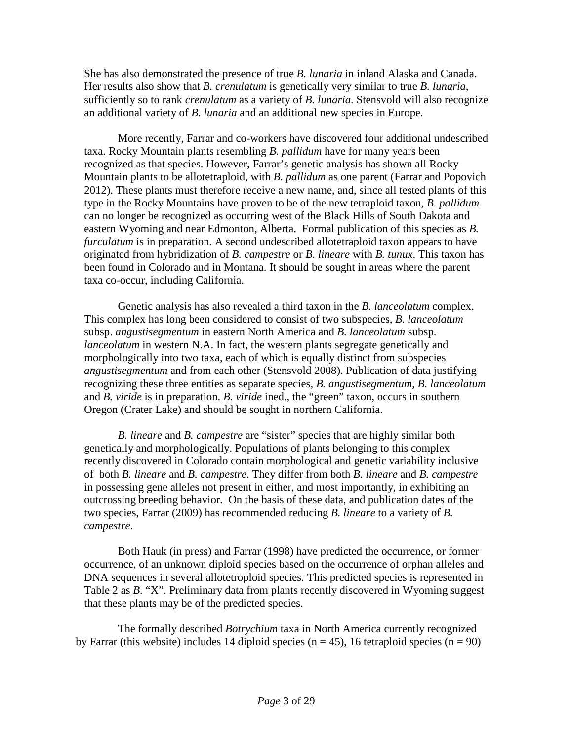She has also demonstrated the presence of true *B. lunaria* in inland Alaska and Canada. Her results also show that *B. crenulatum* is genetically very similar to true *B. lunaria*, sufficiently so to rank *crenulatum* as a variety of *B. lunaria*. Stensvold will also recognize an additional variety of *B. lunaria* and an additional new species in Europe.

More recently, Farrar and co-workers have discovered four additional undescribed taxa. Rocky Mountain plants resembling *B. pallidum* have for many years been recognized as that species. However, Farrar's genetic analysis has shown all Rocky Mountain plants to be allotetraploid, with *B. pallidum* as one parent (Farrar and Popovich 2012). These plants must therefore receive a new name, and, since all tested plants of this type in the Rocky Mountains have proven to be of the new tetraploid taxon, *B. pallidum* can no longer be recognized as occurring west of the Black Hills of South Dakota and eastern Wyoming and near Edmonton, Alberta. Formal publication of this species as *B. furculatum* is in preparation. A second undescribed allotetraploid taxon appears to have originated from hybridization of *B. campestre* or *B. lineare* with *B. tunux*. This taxon has been found in Colorado and in Montana. It should be sought in areas where the parent taxa co-occur, including California.

Genetic analysis has also revealed a third taxon in the *B. lanceolatum* complex. This complex has long been considered to consist of two subspecies, *B. lanceolatum* subsp. *angustisegmentum* in eastern North America and *B. lanceolatum* subsp. *lanceolatum* in western N.A. In fact, the western plants segregate genetically and morphologically into two taxa, each of which is equally distinct from subspecies *angustisegmentum* and from each other (Stensvold 2008). Publication of data justifying recognizing these three entities as separate species, *B. angustisegmentum, B. lanceolatum* and *B. viride* is in preparation. *B. viride* ined., the "green" taxon, occurs in southern Oregon (Crater Lake) and should be sought in northern California.

*B. lineare* and *B. campestre* are "sister" species that are highly similar both genetically and morphologically. Populations of plants belonging to this complex recently discovered in Colorado contain morphological and genetic variability inclusive of both *B. lineare* and *B. campestre*. They differ from both *B. lineare* and *B. campestre*  in possessing gene alleles not present in either, and most importantly, in exhibiting an outcrossing breeding behavior. On the basis of these data, and publication dates of the two species, Farrar (2009) has recommended reducing *B. lineare* to a variety of *B. campestre*.

Both Hauk (in press) and Farrar (1998) have predicted the occurrence, or former occurrence, of an unknown diploid species based on the occurrence of orphan alleles and DNA sequences in several allotetroploid species. This predicted species is represented in Table 2 as *B*. "X". Preliminary data from plants recently discovered in Wyoming suggest that these plants may be of the predicted species.

The formally described *Botrychium* taxa in North America currently recognized by Farrar (this website) includes 14 diploid species ( $n = 45$ ), 16 tetraploid species ( $n = 90$ )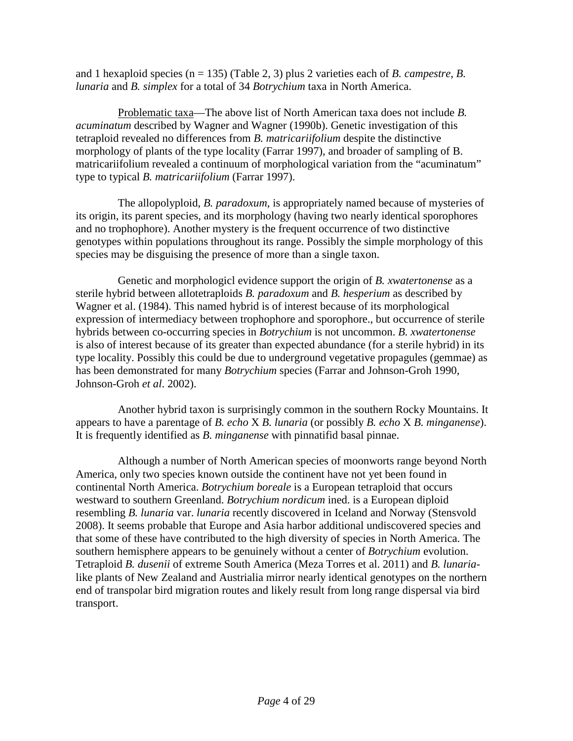and 1 hexaploid species (n = 135) (Table 2, 3) plus 2 varieties each of *B. campestre*, *B. lunaria* and *B. simplex* for a total of 34 *Botrychium* taxa in North America.

Problematic taxa—The above list of North American taxa does not include *B. acuminatum* described by Wagner and Wagner (1990b). Genetic investigation of this tetraploid revealed no differences from *B. matricariifolium* despite the distinctive morphology of plants of the type locality (Farrar 1997), and broader of sampling of B. matricariifolium revealed a continuum of morphological variation from the "acuminatum" type to typical *B. matricariifolium* (Farrar 1997).

The allopolyploid, *B. paradoxum*, is appropriately named because of mysteries of its origin, its parent species, and its morphology (having two nearly identical sporophores and no trophophore). Another mystery is the frequent occurrence of two distinctive genotypes within populations throughout its range. Possibly the simple morphology of this species may be disguising the presence of more than a single taxon.

Genetic and morphologicl evidence support the origin of *B. xwatertonense* as a sterile hybrid between allotetraploids *B. paradoxum* and *B. hesperium* as described by Wagner et al. (1984). This named hybrid is of interest because of its morphological expression of intermediacy between trophophore and sporophore., but occurrence of sterile hybrids between co-occurring species in *Botrychium* is not uncommon. *B. xwatertonense* is also of interest because of its greater than expected abundance (for a sterile hybrid) in its type locality. Possibly this could be due to underground vegetative propagules (gemmae) as has been demonstrated for many *Botrychium* species (Farrar and Johnson-Groh 1990, Johnson-Groh *et al*. 2002).

Another hybrid taxon is surprisingly common in the southern Rocky Mountains. It appears to have a parentage of *B. echo* X *B. lunaria* (or possibly *B. echo* X *B. minganense*). It is frequently identified as *B. minganense* with pinnatifid basal pinnae.

Although a number of North American species of moonworts range beyond North America, only two species known outside the continent have not yet been found in continental North America. *Botrychium boreale* is a European tetraploid that occurs westward to southern Greenland. *Botrychium nordicum* ined. is a European diploid resembling *B. lunaria* var. *lunaria* recently discovered in Iceland and Norway (Stensvold 2008). It seems probable that Europe and Asia harbor additional undiscovered species and that some of these have contributed to the high diversity of species in North America. The southern hemisphere appears to be genuinely without a center of *Botrychium* evolution. Tetraploid *B. dusenii* of extreme South America (Meza Torres et al. 2011) and *B. lunaria*like plants of New Zealand and Austrialia mirror nearly identical genotypes on the northern end of transpolar bird migration routes and likely result from long range dispersal via bird transport.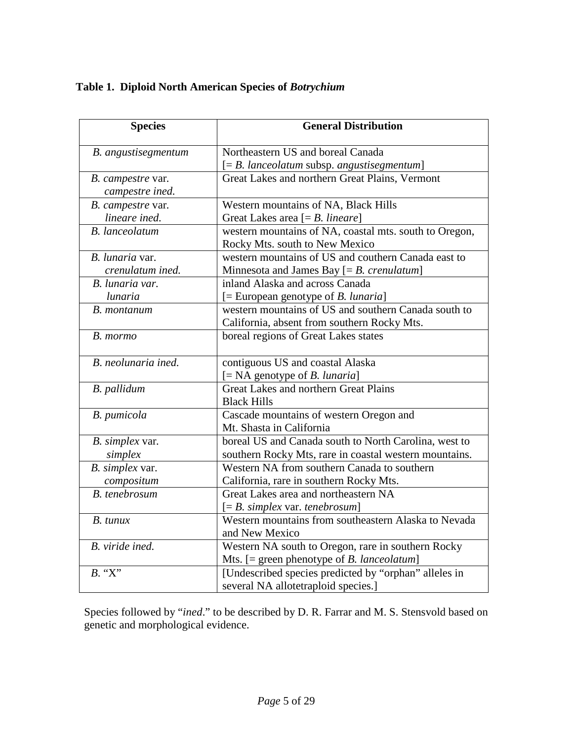# **Table 1. Diploid North American Species of** *Botrychium*

| <b>Species</b>        | <b>General Distribution</b>                            |  |  |  |  |  |
|-----------------------|--------------------------------------------------------|--|--|--|--|--|
| B. angustisegmentum   | Northeastern US and boreal Canada                      |  |  |  |  |  |
|                       | $[=B.$ lanceolatum subsp. angustisegmentum]            |  |  |  |  |  |
| B. campestre var.     | Great Lakes and northern Great Plains, Vermont         |  |  |  |  |  |
| campestre ined.       |                                                        |  |  |  |  |  |
| B. campestre var.     | Western mountains of NA, Black Hills                   |  |  |  |  |  |
| lineare ined.         | Great Lakes area $[=B.$ lineare]                       |  |  |  |  |  |
| <b>B.</b> lanceolatum | western mountains of NA, coastal mts. south to Oregon, |  |  |  |  |  |
|                       | Rocky Mts. south to New Mexico                         |  |  |  |  |  |
| B. lunaria var.       | western mountains of US and couthern Canada east to    |  |  |  |  |  |
| crenulatum ined.      | Minnesota and James Bay $[=B.$ crenulatum]             |  |  |  |  |  |
| B. lunaria var.       | inland Alaska and across Canada                        |  |  |  |  |  |
| lunaria               | $[=$ European genotype of <i>B. lunaria</i> ]          |  |  |  |  |  |
| B. montanum           | western mountains of US and southern Canada south to   |  |  |  |  |  |
|                       | California, absent from southern Rocky Mts.            |  |  |  |  |  |
| B. mormo              | boreal regions of Great Lakes states                   |  |  |  |  |  |
| B. neolunaria ined.   | contiguous US and coastal Alaska                       |  |  |  |  |  |
|                       | $[= NA$ genotype of <i>B. lunaria</i> ]                |  |  |  |  |  |
| B. pallidum           | <b>Great Lakes and northern Great Plains</b>           |  |  |  |  |  |
|                       | <b>Black Hills</b>                                     |  |  |  |  |  |
| B. pumicola           | Cascade mountains of western Oregon and                |  |  |  |  |  |
|                       | Mt. Shasta in California                               |  |  |  |  |  |
| B. simplex var.       | boreal US and Canada south to North Carolina, west to  |  |  |  |  |  |
| simplex               | southern Rocky Mts, rare in coastal western mountains. |  |  |  |  |  |
| B. simplex var.       | Western NA from southern Canada to southern            |  |  |  |  |  |
| compositum            | California, rare in southern Rocky Mts.                |  |  |  |  |  |
| B. tenebrosum         | Great Lakes area and northeastern NA                   |  |  |  |  |  |
|                       | $[=B.$ simplex var. tenebrosum]                        |  |  |  |  |  |
| B. tunux              | Western mountains from southeastern Alaska to Nevada   |  |  |  |  |  |
|                       | and New Mexico                                         |  |  |  |  |  |
| B. viride ined.       | Western NA south to Oregon, rare in southern Rocky     |  |  |  |  |  |
|                       | Mts. $[=$ green phenotype of <i>B. lanceolatum</i> ]   |  |  |  |  |  |
| $\overline{B}$ . "X"  | [Undescribed species predicted by "orphan" alleles in  |  |  |  |  |  |
|                       | several NA allotetraploid species.]                    |  |  |  |  |  |

Species followed by "*ined*." to be described by D. R. Farrar and M. S. Stensvold based on genetic and morphological evidence.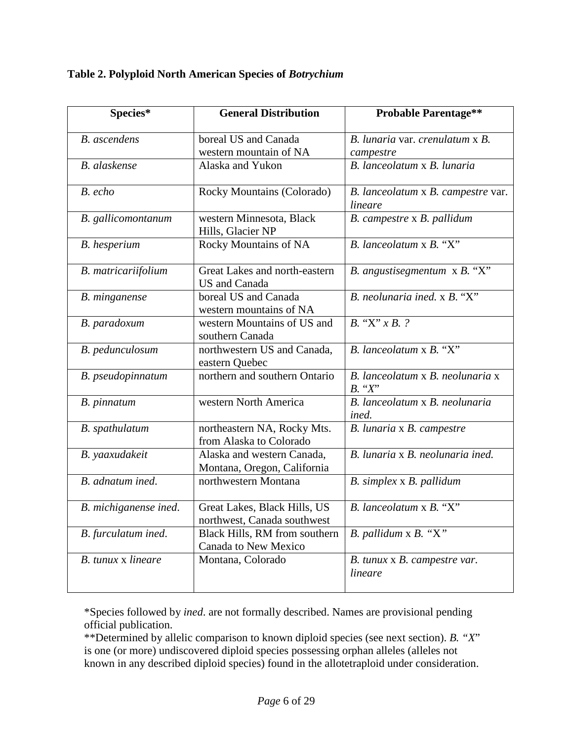**Table 2. Polyploid North American Species of** *Botrychium*

| Species*                  | <b>General Distribution</b>                                 | <b>Probable Parentage**</b>                      |  |  |  |
|---------------------------|-------------------------------------------------------------|--------------------------------------------------|--|--|--|
| <b>B.</b> ascendens       | boreal US and Canada<br>western mountain of NA              | B. lunaria var. crenulatum x B.<br>campestre     |  |  |  |
| <b>B.</b> alaskense       | Alaska and Yukon                                            | B. lanceolatum x B. lunaria                      |  |  |  |
| B. echo                   | Rocky Mountains (Colorado)                                  | B. lanceolatum x B. campestre var.<br>lineare    |  |  |  |
| B. gallicomontanum        | western Minnesota, Black<br>Hills, Glacier NP               | B. campestre x B. pallidum                       |  |  |  |
| <b>B.</b> hesperium       | Rocky Mountains of NA                                       | $B.$ lanceolatum $X$ , $B.$ "X"                  |  |  |  |
| B. matricariifolium       | Great Lakes and north-eastern<br>US and Canada              | B. angustisegmentum x B. "X"                     |  |  |  |
| B. minganense             | boreal US and Canada<br>western mountains of NA             | $B.$ neolunaria ined. x $B.$ "X"                 |  |  |  |
| B. paradoxum              | western Mountains of US and<br>southern Canada              | $B.$ "X" $x B. ?$                                |  |  |  |
| B. pedunculosum           | northwestern US and Canada,<br>eastern Quebec               | $B.$ lanceolatum $\times B.$ "X"                 |  |  |  |
| B. pseudopinnatum         | northern and southern Ontario                               | B. lanceolatum x B. neolunaria x<br>$B.$ " $X$ " |  |  |  |
| B. pinnatum               | western North America                                       | B. lanceolatum x B. neolunaria<br>ined.          |  |  |  |
| B. spathulatum            | northeastern NA, Rocky Mts.<br>from Alaska to Colorado      | B. lunaria x B. campestre                        |  |  |  |
| B. yaaxudakeit            | Alaska and western Canada,<br>Montana, Oregon, California   | B. lunaria x B. neolunaria ined.                 |  |  |  |
| B. adnatum ined.          | northwestern Montana                                        | B. simplex x B. pallidum                         |  |  |  |
| B. michiganense ined.     | Great Lakes, Black Hills, US<br>northwest, Canada southwest | $B.$ lanceolatum $\times B.$ "X"                 |  |  |  |
| B. furculatum ined.       | Black Hills, RM from southern<br>Canada to New Mexico       | $B.$ pallidum x $B.$ "X"                         |  |  |  |
| <b>B.</b> tunux x lineare | Montana, Colorado                                           | B. tunux x B. campestre var.<br>lineare          |  |  |  |

\*Species followed by *ined*. are not formally described. Names are provisional pending official publication.

\*\*Determined by allelic comparison to known diploid species (see next section). *B. "X*" is one (or more) undiscovered diploid species possessing orphan alleles (alleles not known in any described diploid species) found in the allotetraploid under consideration.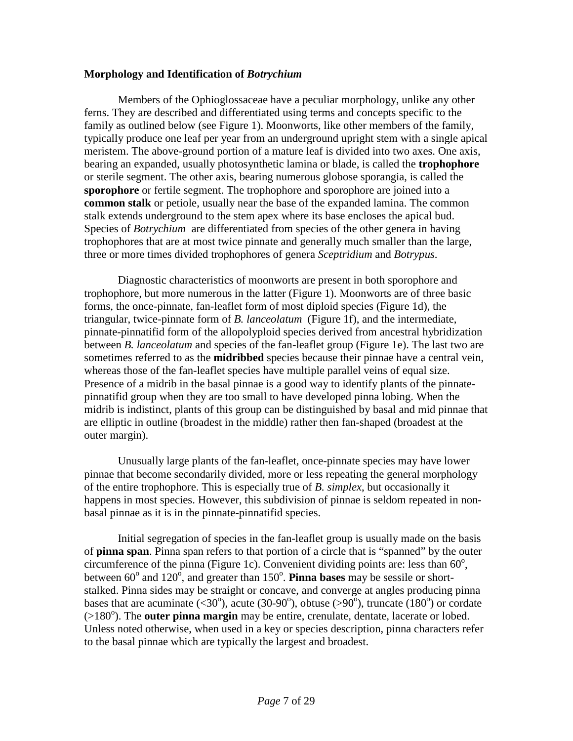### **Morphology and Identification of** *Botrychium*

Members of the Ophioglossaceae have a peculiar morphology, unlike any other ferns. They are described and differentiated using terms and concepts specific to the family as outlined below (see Figure 1). Moonworts, like other members of the family, typically produce one leaf per year from an underground upright stem with a single apical meristem. The above-ground portion of a mature leaf is divided into two axes. One axis, bearing an expanded, usually photosynthetic lamina or blade, is called the **trophophore** or sterile segment. The other axis, bearing numerous globose sporangia, is called the **sporophore** or fertile segment. The trophophore and sporophore are joined into a **common stalk** or petiole, usually near the base of the expanded lamina. The common stalk extends underground to the stem apex where its base encloses the apical bud. Species of *Botrychium* are differentiated from species of the other genera in having trophophores that are at most twice pinnate and generally much smaller than the large, three or more times divided trophophores of genera *Sceptridium* and *Botrypus*.

Diagnostic characteristics of moonworts are present in both sporophore and trophophore, but more numerous in the latter (Figure 1). Moonworts are of three basic forms, the once-pinnate, fan-leaflet form of most diploid species (Figure 1d), the triangular, twice-pinnate form of *B. lanceolatum* (Figure 1f), and the intermediate, pinnate-pinnatifid form of the allopolyploid species derived from ancestral hybridization between *B. lanceolatum* and species of the fan-leaflet group (Figure 1e). The last two are sometimes referred to as the **midribbed** species because their pinnae have a central vein, whereas those of the fan-leaflet species have multiple parallel veins of equal size. Presence of a midrib in the basal pinnae is a good way to identify plants of the pinnatepinnatifid group when they are too small to have developed pinna lobing. When the midrib is indistinct, plants of this group can be distinguished by basal and mid pinnae that are elliptic in outline (broadest in the middle) rather then fan-shaped (broadest at the outer margin).

Unusually large plants of the fan-leaflet, once-pinnate species may have lower pinnae that become secondarily divided, more or less repeating the general morphology of the entire trophophore. This is especially true of *B. simplex*, but occasionally it happens in most species. However, this subdivision of pinnae is seldom repeated in nonbasal pinnae as it is in the pinnate-pinnatifid species.

Initial segregation of species in the fan-leaflet group is usually made on the basis of **pinna span**. Pinna span refers to that portion of a circle that is "spanned" by the outer circumference of the pinna (Figure 1c). Convenient dividing points are: less than  $60^\circ$ , between  $60^{\circ}$  and  $120^{\circ}$ , and greater than  $150^{\circ}$ . **Pinna bases** may be sessile or shortstalked. Pinna sides may be straight or concave, and converge at angles producing pinna bases that are acuminate (<30°), acute (30-90°), obtuse (>90°), truncate (180°) or cordate (>180°). The **outer pinna margin** may be entire, crenulate, dentate, lacerate or lobed. Unless noted otherwise, when used in a key or species description, pinna characters refer to the basal pinnae which are typically the largest and broadest.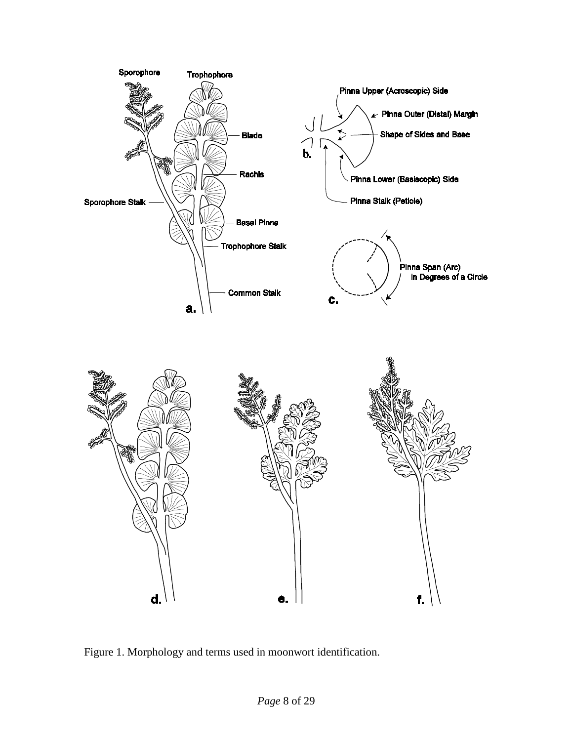

Figure 1. Morphology and terms used in moonwort identification.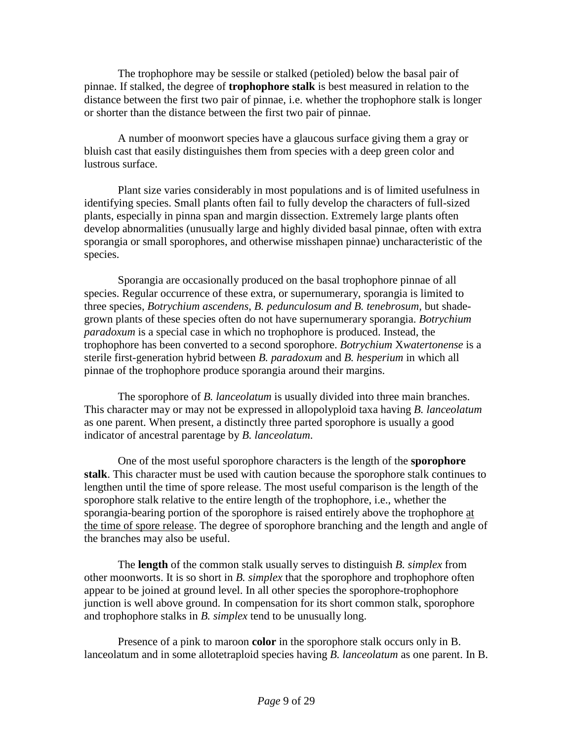The trophophore may be sessile or stalked (petioled) below the basal pair of pinnae. If stalked, the degree of **trophophore stalk** is best measured in relation to the distance between the first two pair of pinnae, i.e. whether the trophophore stalk is longer or shorter than the distance between the first two pair of pinnae.

A number of moonwort species have a glaucous surface giving them a gray or bluish cast that easily distinguishes them from species with a deep green color and lustrous surface.

Plant size varies considerably in most populations and is of limited usefulness in identifying species. Small plants often fail to fully develop the characters of full-sized plants, especially in pinna span and margin dissection. Extremely large plants often develop abnormalities (unusually large and highly divided basal pinnae, often with extra sporangia or small sporophores, and otherwise misshapen pinnae) uncharacteristic of the species.

Sporangia are occasionally produced on the basal trophophore pinnae of all species. Regular occurrence of these extra, or supernumerary, sporangia is limited to three species, *Botrychium ascendens*, *B. pedunculosum and B. tenebrosum*, but shadegrown plants of these species often do not have supernumerary sporangia. *Botrychium paradoxum* is a special case in which no trophophore is produced. Instead, the trophophore has been converted to a second sporophore. *Botrychium* X*watertonense* is a sterile first-generation hybrid between *B. paradoxum* and *B. hesperium* in which all pinnae of the trophophore produce sporangia around their margins.

The sporophore of *B. lanceolatum* is usually divided into three main branches. This character may or may not be expressed in allopolyploid taxa having *B. lanceolatum* as one parent. When present, a distinctly three parted sporophore is usually a good indicator of ancestral parentage by *B. lanceolatum*.

One of the most useful sporophore characters is the length of the **sporophore stalk**. This character must be used with caution because the sporophore stalk continues to lengthen until the time of spore release. The most useful comparison is the length of the sporophore stalk relative to the entire length of the trophophore, i.e., whether the sporangia-bearing portion of the sporophore is raised entirely above the trophophore at the time of spore release. The degree of sporophore branching and the length and angle of the branches may also be useful.

The **length** of the common stalk usually serves to distinguish *B. simplex* from other moonworts. It is so short in *B. simplex* that the sporophore and trophophore often appear to be joined at ground level. In all other species the sporophore-trophophore junction is well above ground. In compensation for its short common stalk, sporophore and trophophore stalks in *B. simplex* tend to be unusually long.

Presence of a pink to maroon **color** in the sporophore stalk occurs only in B. lanceolatum and in some allotetraploid species having *B. lanceolatum* as one parent. In B.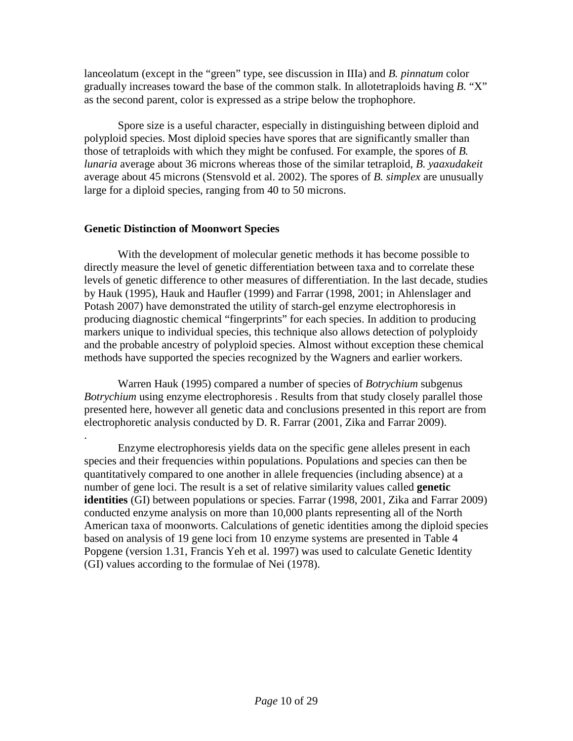lanceolatum (except in the "green" type, see discussion in IIIa) and *B. pinnatum* color gradually increases toward the base of the common stalk. In allotetraploids having *B*. "X" as the second parent, color is expressed as a stripe below the trophophore.

Spore size is a useful character, especially in distinguishing between diploid and polyploid species. Most diploid species have spores that are significantly smaller than those of tetraploids with which they might be confused. For example, the spores of *B. lunaria* average about 36 microns whereas those of the similar tetraploid, *B. yaaxudakeit* average about 45 microns (Stensvold et al. 2002). The spores of *B. simplex* are unusually large for a diploid species, ranging from 40 to 50 microns.

## **Genetic Distinction of Moonwort Species**

With the development of molecular genetic methods it has become possible to directly measure the level of genetic differentiation between taxa and to correlate these levels of genetic difference to other measures of differentiation. In the last decade, studies by Hauk (1995), Hauk and Haufler (1999) and Farrar (1998, 2001; in Ahlenslager and Potash 2007) have demonstrated the utility of starch-gel enzyme electrophoresis in producing diagnostic chemical "fingerprints" for each species. In addition to producing markers unique to individual species, this technique also allows detection of polyploidy and the probable ancestry of polyploid species. Almost without exception these chemical methods have supported the species recognized by the Wagners and earlier workers.

Warren Hauk (1995) compared a number of species of *Botrychium* subgenus *Botrychium* using enzyme electrophoresis . Results from that study closely parallel those presented here, however all genetic data and conclusions presented in this report are from electrophoretic analysis conducted by D. R. Farrar (2001, Zika and Farrar 2009).

. Enzyme electrophoresis yields data on the specific gene alleles present in each species and their frequencies within populations. Populations and species can then be quantitatively compared to one another in allele frequencies (including absence) at a number of gene loci. The result is a set of relative similarity values called **genetic identities** (GI) between populations or species. Farrar (1998, 2001, Zika and Farrar 2009) conducted enzyme analysis on more than 10,000 plants representing all of the North American taxa of moonworts. Calculations of genetic identities among the diploid species based on analysis of 19 gene loci from 10 enzyme systems are presented in Table 4 Popgene (version 1.31, Francis Yeh et al. 1997) was used to calculate Genetic Identity (GI) values according to the formulae of Nei (1978).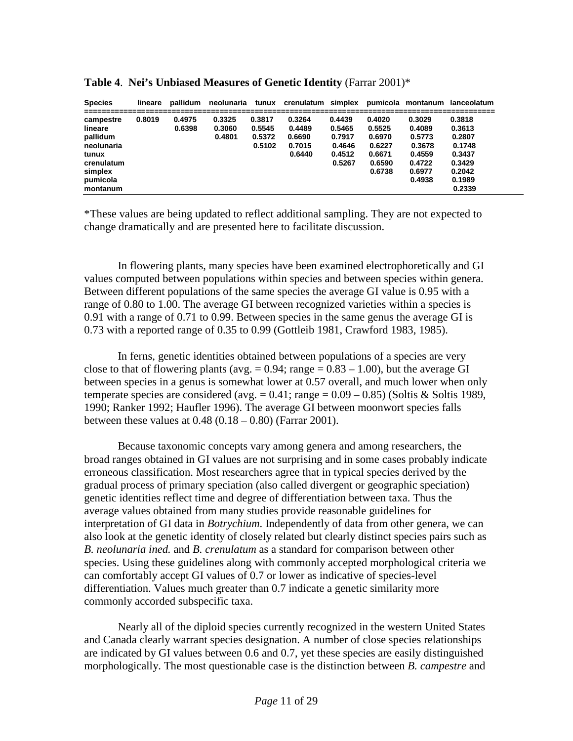| <b>Species</b>                                                                                           | lineare | pallidum         |                            |                                      |                                                |                                                          |                                                                    |                                                                              | neolunaria tunux crenulatum simplex pumicola montanum lanceolatum                      |
|----------------------------------------------------------------------------------------------------------|---------|------------------|----------------------------|--------------------------------------|------------------------------------------------|----------------------------------------------------------|--------------------------------------------------------------------|------------------------------------------------------------------------------|----------------------------------------------------------------------------------------|
| campestre<br>lineare<br>pallidum<br>neolunaria<br>tunux<br>crenulatum<br>simplex<br>pumicola<br>montanum | 0.8019  | 0.4975<br>0.6398 | 0.3325<br>0.3060<br>0.4801 | 0.3817<br>0.5545<br>0.5372<br>0.5102 | 0.3264<br>0.4489<br>0.6690<br>0.7015<br>0.6440 | 0.4439<br>0.5465<br>0.7917<br>0.4646<br>0.4512<br>0.5267 | 0.4020<br>0.5525<br>0.6970<br>0.6227<br>0.6671<br>0.6590<br>0.6738 | 0.3029<br>0.4089<br>0.5773<br>0.3678<br>0.4559<br>0.4722<br>0.6977<br>0.4938 | 0.3818<br>0.3613<br>0.2807<br>0.1748<br>0.3437<br>0.3429<br>0.2042<br>0.1989<br>0.2339 |

**Table 4**. **Nei's Unbiased Measures of Genetic Identity** (Farrar 2001)\*

\*These values are being updated to reflect additional sampling. They are not expected to change dramatically and are presented here to facilitate discussion.

In flowering plants, many species have been examined electrophoretically and GI values computed between populations within species and between species within genera. Between different populations of the same species the average GI value is 0.95 with a range of 0.80 to 1.00. The average GI between recognized varieties within a species is 0.91 with a range of 0.71 to 0.99. Between species in the same genus the average GI is 0.73 with a reported range of 0.35 to 0.99 (Gottleib 1981, Crawford 1983, 1985).

In ferns, genetic identities obtained between populations of a species are very close to that of flowering plants (avg.  $= 0.94$ ; range  $= 0.83 - 1.00$ ), but the average GI between species in a genus is somewhat lower at 0.57 overall, and much lower when only temperate species are considered (avg.  $= 0.41$ ; range  $= 0.09 - 0.85$ ) (Soltis & Soltis 1989, 1990; Ranker 1992; Haufler 1996). The average GI between moonwort species falls between these values at  $0.48 (0.18 - 0.80)$  (Farrar 2001).

Because taxonomic concepts vary among genera and among researchers, the broad ranges obtained in GI values are not surprising and in some cases probably indicate erroneous classification. Most researchers agree that in typical species derived by the gradual process of primary speciation (also called divergent or geographic speciation) genetic identities reflect time and degree of differentiation between taxa. Thus the average values obtained from many studies provide reasonable guidelines for interpretation of GI data in *Botrychium*. Independently of data from other genera, we can also look at the genetic identity of closely related but clearly distinct species pairs such as *B. neolunaria ined.* and *B. crenulatum* as a standard for comparison between other species. Using these guidelines along with commonly accepted morphological criteria we can comfortably accept GI values of 0.7 or lower as indicative of species-level differentiation. Values much greater than 0.7 indicate a genetic similarity more commonly accorded subspecific taxa.

Nearly all of the diploid species currently recognized in the western United States and Canada clearly warrant species designation. A number of close species relationships are indicated by GI values between 0.6 and 0.7, yet these species are easily distinguished morphologically. The most questionable case is the distinction between *B. campestre* and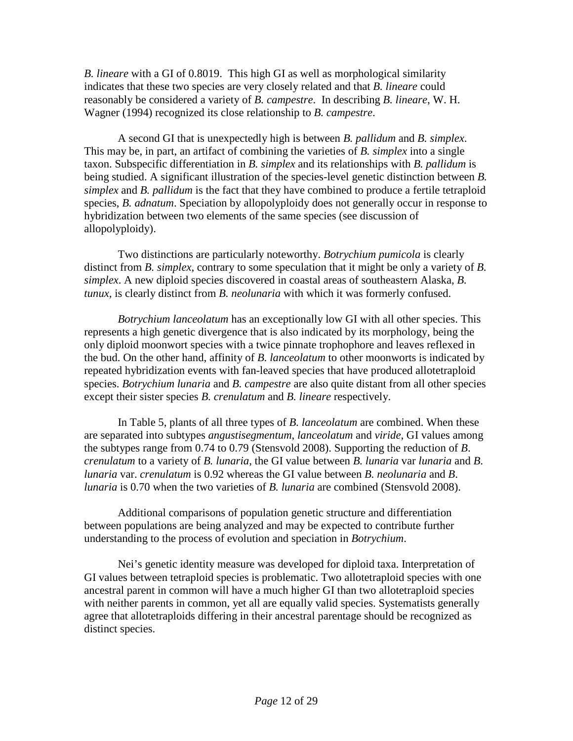*B. lineare* with a GI of 0.8019. This high GI as well as morphological similarity indicates that these two species are very closely related and that *B. lineare* could reasonably be considered a variety of *B. campestre*. In describing *B. lineare*, W. H. Wagner (1994) recognized its close relationship to *B. campestre*.

A second GI that is unexpectedly high is between *B. pallidum* and *B. simplex*. This may be, in part, an artifact of combining the varieties of *B. simplex* into a single taxon. Subspecific differentiation in *B. simplex* and its relationships with *B. pallidum* is being studied. A significant illustration of the species-level genetic distinction between *B. simplex* and *B. pallidum* is the fact that they have combined to produce a fertile tetraploid species, *B. adnatum*. Speciation by allopolyploidy does not generally occur in response to hybridization between two elements of the same species (see discussion of allopolyploidy).

Two distinctions are particularly noteworthy. *Botrychium pumicola* is clearly distinct from *B. simplex*, contrary to some speculation that it might be only a variety of *B. simplex*. A new diploid species discovered in coastal areas of southeastern Alaska, *B. tunux,* is clearly distinct from *B. neolunaria* with which it was formerly confused.

*Botrychium lanceolatum* has an exceptionally low GI with all other species. This represents a high genetic divergence that is also indicated by its morphology, being the only diploid moonwort species with a twice pinnate trophophore and leaves reflexed in the bud. On the other hand, affinity of *B. lanceolatum* to other moonworts is indicated by repeated hybridization events with fan-leaved species that have produced allotetraploid species. *Botrychium lunaria* and *B. campestre* are also quite distant from all other species except their sister species *B. crenulatum* and *B. lineare* respectively.

In Table 5, plants of all three types of *B. lanceolatum* are combined. When these are separated into subtypes *angustisegmentum*, *lanceolatum* and *viride*, GI values among the subtypes range from 0.74 to 0.79 (Stensvold 2008). Supporting the reduction of *B*. *crenulatum* to a variety of *B. lunaria*, the GI value between *B. lunaria* var *lunaria* and *B*. *lunaria* var. *crenulatum* is 0.92 whereas the GI value between *B. neolunaria* and *B*. *lunaria* is 0.70 when the two varieties of *B. lunaria* are combined (Stensvold 2008).

Additional comparisons of population genetic structure and differentiation between populations are being analyzed and may be expected to contribute further understanding to the process of evolution and speciation in *Botrychium*.

Nei's genetic identity measure was developed for diploid taxa. Interpretation of GI values between tetraploid species is problematic. Two allotetraploid species with one ancestral parent in common will have a much higher GI than two allotetraploid species with neither parents in common, yet all are equally valid species. Systematists generally agree that allotetraploids differing in their ancestral parentage should be recognized as distinct species.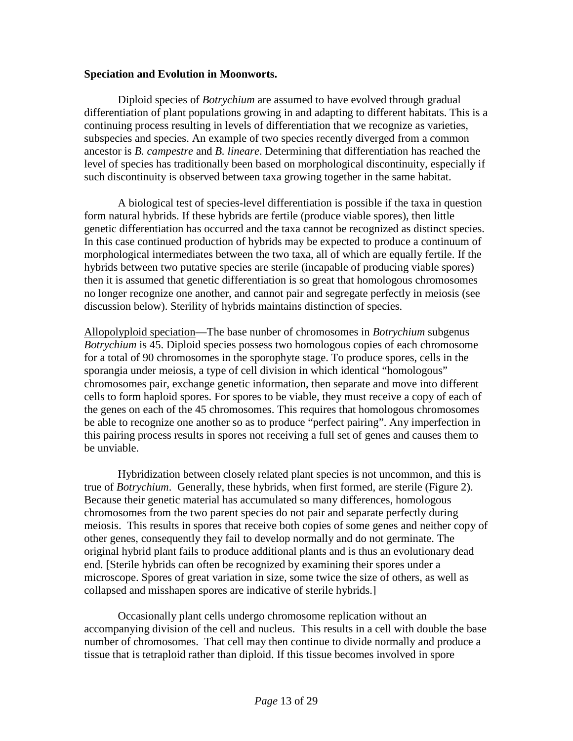### **Speciation and Evolution in Moonworts.**

Diploid species of *Botrychium* are assumed to have evolved through gradual differentiation of plant populations growing in and adapting to different habitats. This is a continuing process resulting in levels of differentiation that we recognize as varieties, subspecies and species. An example of two species recently diverged from a common ancestor is *B. campestre* and *B. lineare*. Determining that differentiation has reached the level of species has traditionally been based on morphological discontinuity, especially if such discontinuity is observed between taxa growing together in the same habitat.

A biological test of species-level differentiation is possible if the taxa in question form natural hybrids. If these hybrids are fertile (produce viable spores), then little genetic differentiation has occurred and the taxa cannot be recognized as distinct species. In this case continued production of hybrids may be expected to produce a continuum of morphological intermediates between the two taxa, all of which are equally fertile. If the hybrids between two putative species are sterile (incapable of producing viable spores) then it is assumed that genetic differentiation is so great that homologous chromosomes no longer recognize one another, and cannot pair and segregate perfectly in meiosis (see discussion below). Sterility of hybrids maintains distinction of species.

Allopolyploid speciation—The base nunber of chromosomes in *Botrychium* subgenus *Botrychium* is 45. Diploid species possess two homologous copies of each chromosome for a total of 90 chromosomes in the sporophyte stage. To produce spores, cells in the sporangia under meiosis, a type of cell division in which identical "homologous" chromosomes pair, exchange genetic information, then separate and move into different cells to form haploid spores. For spores to be viable, they must receive a copy of each of the genes on each of the 45 chromosomes. This requires that homologous chromosomes be able to recognize one another so as to produce "perfect pairing". Any imperfection in this pairing process results in spores not receiving a full set of genes and causes them to be unviable.

Hybridization between closely related plant species is not uncommon, and this is true of *Botrychium*. Generally, these hybrids, when first formed, are sterile (Figure 2). Because their genetic material has accumulated so many differences, homologous chromosomes from the two parent species do not pair and separate perfectly during meiosis. This results in spores that receive both copies of some genes and neither copy of other genes, consequently they fail to develop normally and do not germinate. The original hybrid plant fails to produce additional plants and is thus an evolutionary dead end. [Sterile hybrids can often be recognized by examining their spores under a microscope. Spores of great variation in size, some twice the size of others, as well as collapsed and misshapen spores are indicative of sterile hybrids.]

Occasionally plant cells undergo chromosome replication without an accompanying division of the cell and nucleus. This results in a cell with double the base number of chromosomes. That cell may then continue to divide normally and produce a tissue that is tetraploid rather than diploid. If this tissue becomes involved in spore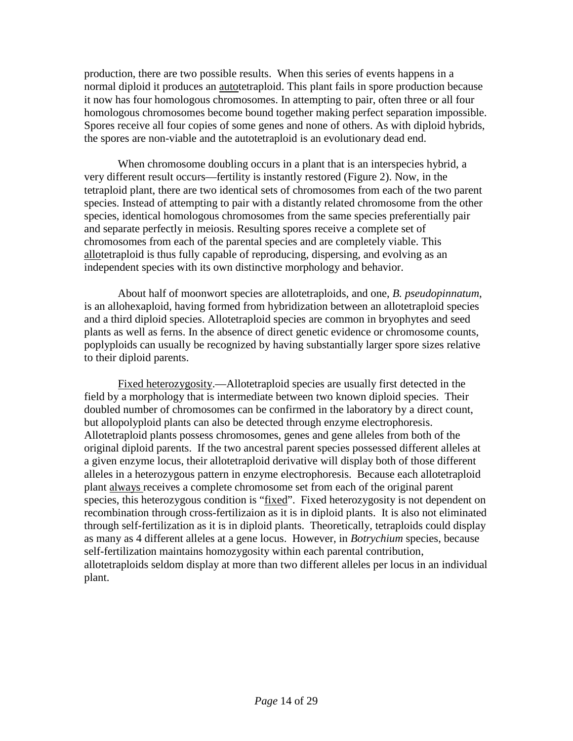production, there are two possible results. When this series of events happens in a normal diploid it produces an autotetraploid. This plant fails in spore production because it now has four homologous chromosomes. In attempting to pair, often three or all four homologous chromosomes become bound together making perfect separation impossible. Spores receive all four copies of some genes and none of others. As with diploid hybrids, the spores are non-viable and the autotetraploid is an evolutionary dead end.

When chromosome doubling occurs in a plant that is an interspecies hybrid, a very different result occurs—fertility is instantly restored (Figure 2). Now, in the tetraploid plant, there are two identical sets of chromosomes from each of the two parent species. Instead of attempting to pair with a distantly related chromosome from the other species, identical homologous chromosomes from the same species preferentially pair and separate perfectly in meiosis. Resulting spores receive a complete set of chromosomes from each of the parental species and are completely viable. This allotetraploid is thus fully capable of reproducing, dispersing, and evolving as an independent species with its own distinctive morphology and behavior.

About half of moonwort species are allotetraploids, and one, *B. pseudopinnatum*, is an allohexaploid, having formed from hybridization between an allotetraploid species and a third diploid species. Allotetraploid species are common in bryophytes and seed plants as well as ferns. In the absence of direct genetic evidence or chromosome counts, poplyploids can usually be recognized by having substantially larger spore sizes relative to their diploid parents.

Fixed heterozygosity.—Allotetraploid species are usually first detected in the field by a morphology that is intermediate between two known diploid species. Their doubled number of chromosomes can be confirmed in the laboratory by a direct count, but allopolyploid plants can also be detected through enzyme electrophoresis. Allotetraploid plants possess chromosomes, genes and gene alleles from both of the original diploid parents. If the two ancestral parent species possessed different alleles at a given enzyme locus, their allotetraploid derivative will display both of those different alleles in a heterozygous pattern in enzyme electrophoresis. Because each allotetraploid plant always receives a complete chromosome set from each of the original parent species, this heterozygous condition is "fixed". Fixed heterozygosity is not dependent on recombination through cross-fertilizaion as it is in diploid plants. It is also not eliminated through self-fertilization as it is in diploid plants. Theoretically, tetraploids could display as many as 4 different alleles at a gene locus. However, in *Botrychium* species, because self-fertilization maintains homozygosity within each parental contribution, allotetraploids seldom display at more than two different alleles per locus in an individual plant.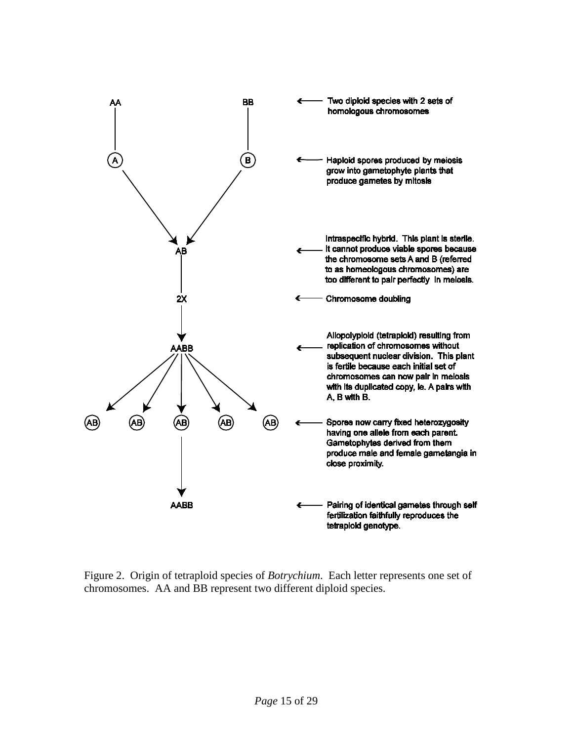

Figure 2. Origin of tetraploid species of *Botrychium*. Each letter represents one set of chromosomes. AA and BB represent two different diploid species.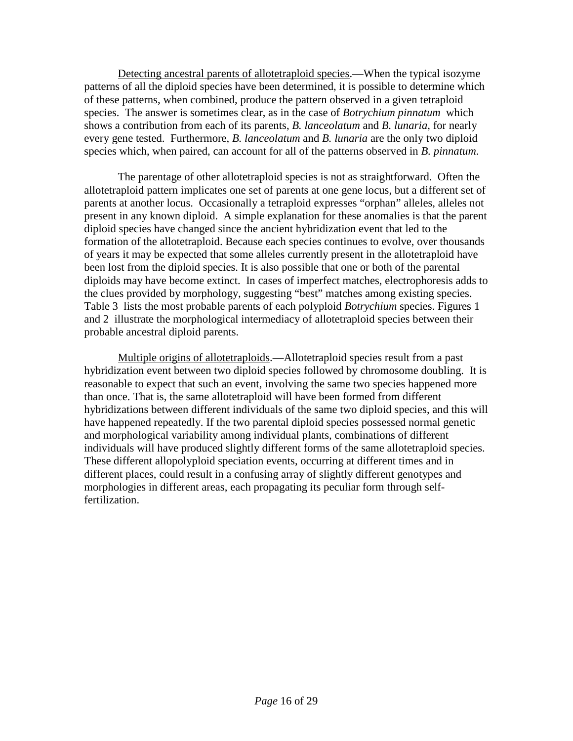Detecting ancestral parents of allotetraploid species.—When the typical isozyme patterns of all the diploid species have been determined, it is possible to determine which of these patterns, when combined, produce the pattern observed in a given tetraploid species. The answer is sometimes clear, as in the case of *Botrychium pinnatum* which shows a contribution from each of its parents, *B. lanceolatum* and *B. lunaria*, for nearly every gene tested. Furthermore, *B. lanceolatum* and *B. lunaria* are the only two diploid species which, when paired, can account for all of the patterns observed in *B. pinnatum*.

The parentage of other allotetraploid species is not as straightforward. Often the allotetraploid pattern implicates one set of parents at one gene locus, but a different set of parents at another locus. Occasionally a tetraploid expresses "orphan" alleles, alleles not present in any known diploid. A simple explanation for these anomalies is that the parent diploid species have changed since the ancient hybridization event that led to the formation of the allotetraploid. Because each species continues to evolve, over thousands of years it may be expected that some alleles currently present in the allotetraploid have been lost from the diploid species. It is also possible that one or both of the parental diploids may have become extinct. In cases of imperfect matches, electrophoresis adds to the clues provided by morphology, suggesting "best" matches among existing species. Table 3 lists the most probable parents of each polyploid *Botrychium* species. Figures 1 and 2 illustrate the morphological intermediacy of allotetraploid species between their probable ancestral diploid parents.

Multiple origins of allotetraploids.—Allotetraploid species result from a past hybridization event between two diploid species followed by chromosome doubling. It is reasonable to expect that such an event, involving the same two species happened more than once. That is, the same allotetraploid will have been formed from different hybridizations between different individuals of the same two diploid species, and this will have happened repeatedly. If the two parental diploid species possessed normal genetic and morphological variability among individual plants, combinations of different individuals will have produced slightly different forms of the same allotetraploid species. These different allopolyploid speciation events, occurring at different times and in different places, could result in a confusing array of slightly different genotypes and morphologies in different areas, each propagating its peculiar form through selffertilization.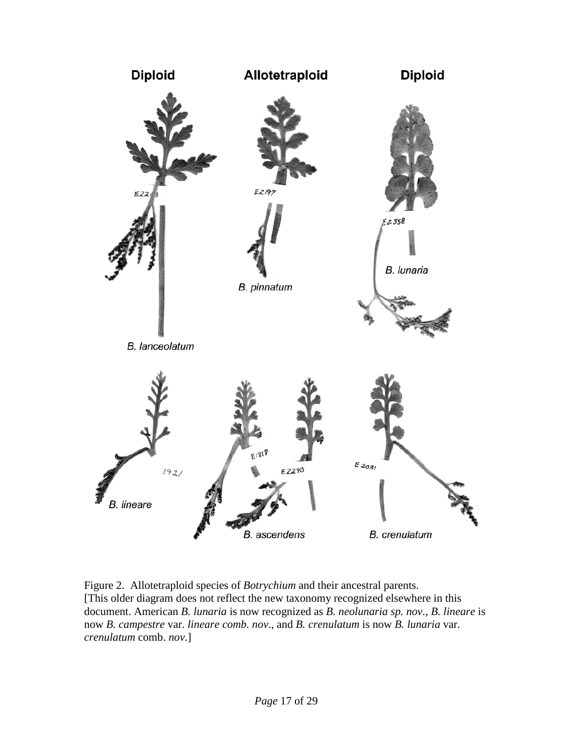

Figure 2. Allotetraploid species of *Botrychium* and their ancestral parents. [This older diagram does not reflect the new taxonomy recognized elsewhere in this document. American *B. lunaria* is now recognized as *B. neolunaria sp. nov*., *B. lineare* is now *B. campestre* var. *lineare comb. nov*., and *B. crenulatum* is now *B. lunaria* var. *crenulatum* comb. *nov*.]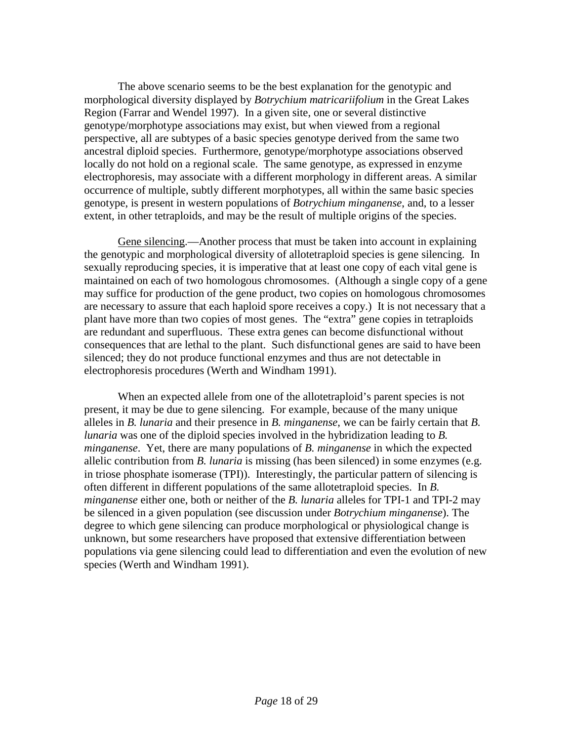The above scenario seems to be the best explanation for the genotypic and morphological diversity displayed by *Botrychium matricariifolium* in the Great Lakes Region (Farrar and Wendel 1997). In a given site, one or several distinctive genotype/morphotype associations may exist, but when viewed from a regional perspective, all are subtypes of a basic species genotype derived from the same two ancestral diploid species. Furthermore, genotype/morphotype associations observed locally do not hold on a regional scale. The same genotype, as expressed in enzyme electrophoresis, may associate with a different morphology in different areas. A similar occurrence of multiple, subtly different morphotypes, all within the same basic species genotype, is present in western populations of *Botrychium minganense*, and, to a lesser extent, in other tetraploids, and may be the result of multiple origins of the species.

Gene silencing.—Another process that must be taken into account in explaining the genotypic and morphological diversity of allotetraploid species is gene silencing. In sexually reproducing species, it is imperative that at least one copy of each vital gene is maintained on each of two homologous chromosomes. (Although a single copy of a gene may suffice for production of the gene product, two copies on homologous chromosomes are necessary to assure that each haploid spore receives a copy.) It is not necessary that a plant have more than two copies of most genes. The "extra" gene copies in tetraploids are redundant and superfluous. These extra genes can become disfunctional without consequences that are lethal to the plant. Such disfunctional genes are said to have been silenced; they do not produce functional enzymes and thus are not detectable in electrophoresis procedures (Werth and Windham 1991).

When an expected allele from one of the allotetraploid's parent species is not present, it may be due to gene silencing. For example, because of the many unique alleles in *B. lunaria* and their presence in *B. minganense*, we can be fairly certain that *B. lunaria* was one of the diploid species involved in the hybridization leading to *B. minganense*. Yet, there are many populations of *B. minganense* in which the expected allelic contribution from *B. lunaria* is missing (has been silenced) in some enzymes (e.g. in triose phosphate isomerase (TPI)). Interestingly, the particular pattern of silencing is often different in different populations of the same allotetraploid species. In *B. minganense* either one, both or neither of the *B. lunaria* alleles for TPI-1 and TPI-2 may be silenced in a given population (see discussion under *Botrychium minganense*). The degree to which gene silencing can produce morphological or physiological change is unknown, but some researchers have proposed that extensive differentiation between populations via gene silencing could lead to differentiation and even the evolution of new species (Werth and Windham 1991).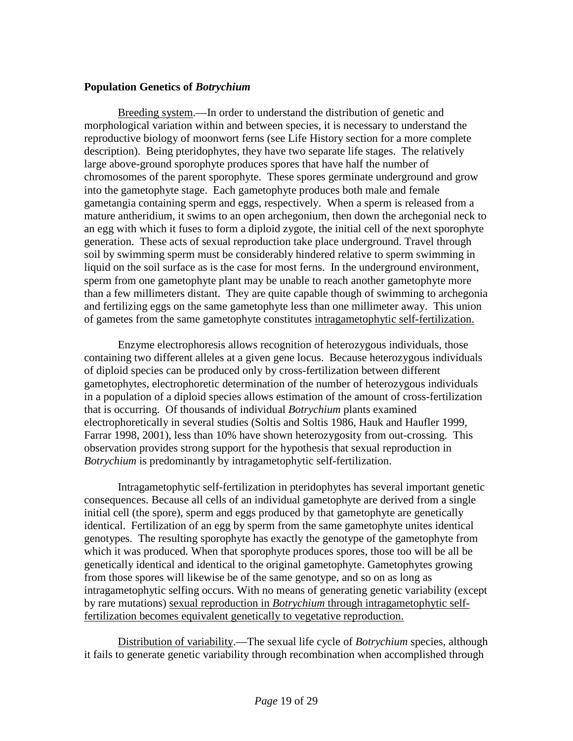## **Population Genetics of** *Botrychium*

Breeding system.—In order to understand the distribution of genetic and morphological variation within and between species, it is necessary to understand the reproductive biology of moonwort ferns (see Life History section for a more complete description). Being pteridophytes, they have two separate life stages. The relatively large above-ground sporophyte produces spores that have half the number of chromosomes of the parent sporophyte. These spores germinate underground and grow into the gametophyte stage. Each gametophyte produces both male and female gametangia containing sperm and eggs, respectively. When a sperm is released from a mature antheridium, it swims to an open archegonium, then down the archegonial neck to an egg with which it fuses to form a diploid zygote, the initial cell of the next sporophyte generation. These acts of sexual reproduction take place underground. Travel through soil by swimming sperm must be considerably hindered relative to sperm swimming in liquid on the soil surface as is the case for most ferns. In the underground environment, sperm from one gametophyte plant may be unable to reach another gametophyte more than a few millimeters distant. They are quite capable though of swimming to archegonia and fertilizing eggs on the same gametophyte less than one millimeter away. This union of gametes from the same gametophyte constitutes intragametophytic self-fertilization.

Enzyme electrophoresis allows recognition of heterozygous individuals, those containing two different alleles at a given gene locus. Because heterozygous individuals of diploid species can be produced only by cross-fertilization between different gametophytes, electrophoretic determination of the number of heterozygous individuals in a population of a diploid species allows estimation of the amount of cross-fertilization that is occurring. Of thousands of individual *Botrychium* plants examined electrophoretically in several studies (Soltis and Soltis 1986, Hauk and Haufler 1999, Farrar 1998, 2001), less than 10% have shown heterozygosity from out-crossing. This observation provides strong support for the hypothesis that sexual reproduction in *Botrychium* is predominantly by intragametophytic self-fertilization.

Intragametophytic self-fertilization in pteridophytes has several important genetic consequences. Because all cells of an individual gametophyte are derived from a single initial cell (the spore), sperm and eggs produced by that gametophyte are genetically identical. Fertilization of an egg by sperm from the same gametophyte unites identical genotypes. The resulting sporophyte has exactly the genotype of the gametophyte from which it was produced. When that sporophyte produces spores, those too will be all be genetically identical and identical to the original gametophyte. Gametophytes growing from those spores will likewise be of the same genotype, and so on as long as intragametophytic selfing occurs. With no means of generating genetic variability (except by rare mutations) sexual reproduction in *Botrychium* through intragametophytic selffertilization becomes equivalent genetically to vegetative reproduction.

Distribution of variability.—The sexual life cycle of *Botrychium* species, although it fails to generate genetic variability through recombination when accomplished through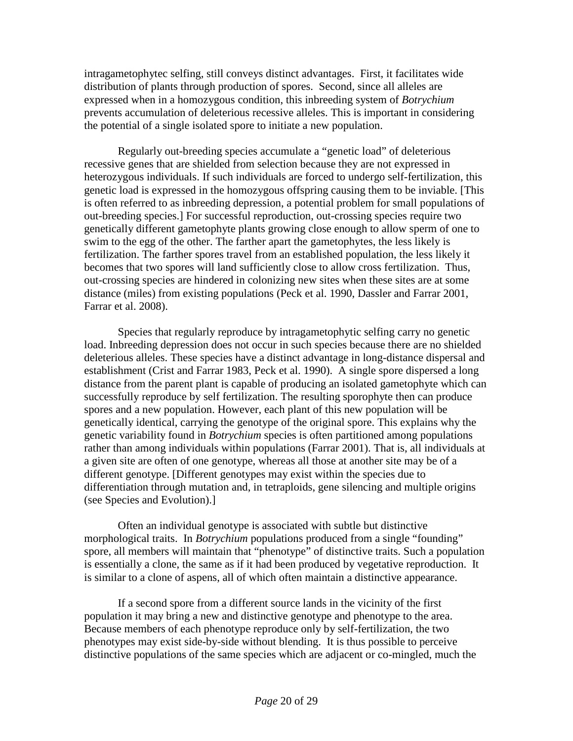intragametophytec selfing, still conveys distinct advantages. First, it facilitates wide distribution of plants through production of spores. Second, since all alleles are expressed when in a homozygous condition, this inbreeding system of *Botrychium* prevents accumulation of deleterious recessive alleles. This is important in considering the potential of a single isolated spore to initiate a new population.

Regularly out-breeding species accumulate a "genetic load" of deleterious recessive genes that are shielded from selection because they are not expressed in heterozygous individuals. If such individuals are forced to undergo self-fertilization, this genetic load is expressed in the homozygous offspring causing them to be inviable. [This is often referred to as inbreeding depression, a potential problem for small populations of out-breeding species.] For successful reproduction, out-crossing species require two genetically different gametophyte plants growing close enough to allow sperm of one to swim to the egg of the other. The farther apart the gametophytes, the less likely is fertilization. The farther spores travel from an established population, the less likely it becomes that two spores will land sufficiently close to allow cross fertilization. Thus, out-crossing species are hindered in colonizing new sites when these sites are at some distance (miles) from existing populations (Peck et al. 1990, Dassler and Farrar 2001, Farrar et al. 2008).

Species that regularly reproduce by intragametophytic selfing carry no genetic load. Inbreeding depression does not occur in such species because there are no shielded deleterious alleles. These species have a distinct advantage in long-distance dispersal and establishment (Crist and Farrar 1983, Peck et al. 1990). A single spore dispersed a long distance from the parent plant is capable of producing an isolated gametophyte which can successfully reproduce by self fertilization. The resulting sporophyte then can produce spores and a new population. However, each plant of this new population will be genetically identical, carrying the genotype of the original spore. This explains why the genetic variability found in *Botrychium* species is often partitioned among populations rather than among individuals within populations (Farrar 2001). That is, all individuals at a given site are often of one genotype, whereas all those at another site may be of a different genotype. [Different genotypes may exist within the species due to differentiation through mutation and, in tetraploids, gene silencing and multiple origins (see Species and Evolution).]

Often an individual genotype is associated with subtle but distinctive morphological traits. In *Botrychium* populations produced from a single "founding" spore, all members will maintain that "phenotype" of distinctive traits. Such a population is essentially a clone, the same as if it had been produced by vegetative reproduction. It is similar to a clone of aspens, all of which often maintain a distinctive appearance.

If a second spore from a different source lands in the vicinity of the first population it may bring a new and distinctive genotype and phenotype to the area. Because members of each phenotype reproduce only by self-fertilization, the two phenotypes may exist side-by-side without blending. It is thus possible to perceive distinctive populations of the same species which are adjacent or co-mingled, much the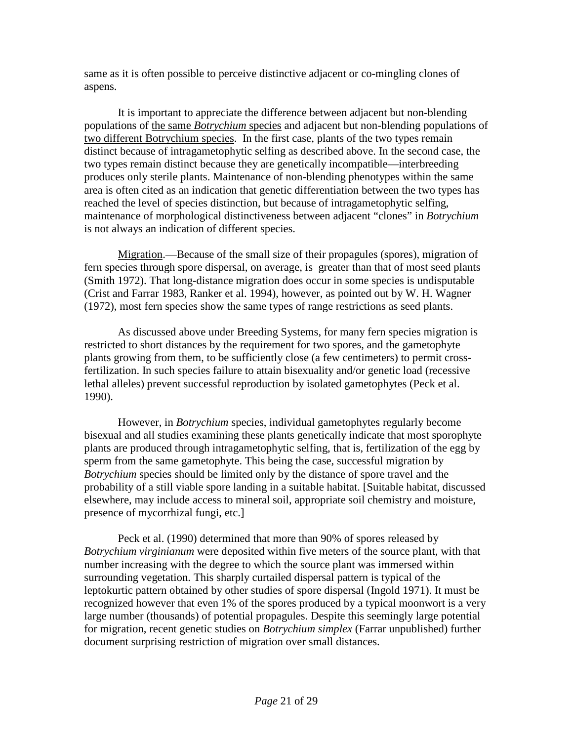same as it is often possible to perceive distinctive adjacent or co-mingling clones of aspens.

It is important to appreciate the difference between adjacent but non-blending populations of the same *Botrychium* species and adjacent but non-blending populations of two different Botrychium species. In the first case, plants of the two types remain distinct because of intragametophytic selfing as described above. In the second case, the two types remain distinct because they are genetically incompatible—interbreeding produces only sterile plants. Maintenance of non-blending phenotypes within the same area is often cited as an indication that genetic differentiation between the two types has reached the level of species distinction, but because of intragametophytic selfing, maintenance of morphological distinctiveness between adjacent "clones" in *Botrychium* is not always an indication of different species.

Migration.—Because of the small size of their propagules (spores), migration of fern species through spore dispersal, on average, is greater than that of most seed plants (Smith 1972). That long-distance migration does occur in some species is undisputable (Crist and Farrar 1983, Ranker et al. 1994), however, as pointed out by W. H. Wagner (1972), most fern species show the same types of range restrictions as seed plants.

As discussed above under Breeding Systems, for many fern species migration is restricted to short distances by the requirement for two spores, and the gametophyte plants growing from them, to be sufficiently close (a few centimeters) to permit crossfertilization. In such species failure to attain bisexuality and/or genetic load (recessive lethal alleles) prevent successful reproduction by isolated gametophytes (Peck et al. 1990).

However, in *Botrychium* species, individual gametophytes regularly become bisexual and all studies examining these plants genetically indicate that most sporophyte plants are produced through intragametophytic selfing, that is, fertilization of the egg by sperm from the same gametophyte. This being the case, successful migration by *Botrychium* species should be limited only by the distance of spore travel and the probability of a still viable spore landing in a suitable habitat. [Suitable habitat, discussed elsewhere, may include access to mineral soil, appropriate soil chemistry and moisture, presence of mycorrhizal fungi, etc.]

Peck et al. (1990) determined that more than 90% of spores released by *Botrychium virginianum* were deposited within five meters of the source plant, with that number increasing with the degree to which the source plant was immersed within surrounding vegetation. This sharply curtailed dispersal pattern is typical of the leptokurtic pattern obtained by other studies of spore dispersal (Ingold 1971). It must be recognized however that even 1% of the spores produced by a typical moonwort is a very large number (thousands) of potential propagules. Despite this seemingly large potential for migration, recent genetic studies on *Botrychium simplex* (Farrar unpublished) further document surprising restriction of migration over small distances.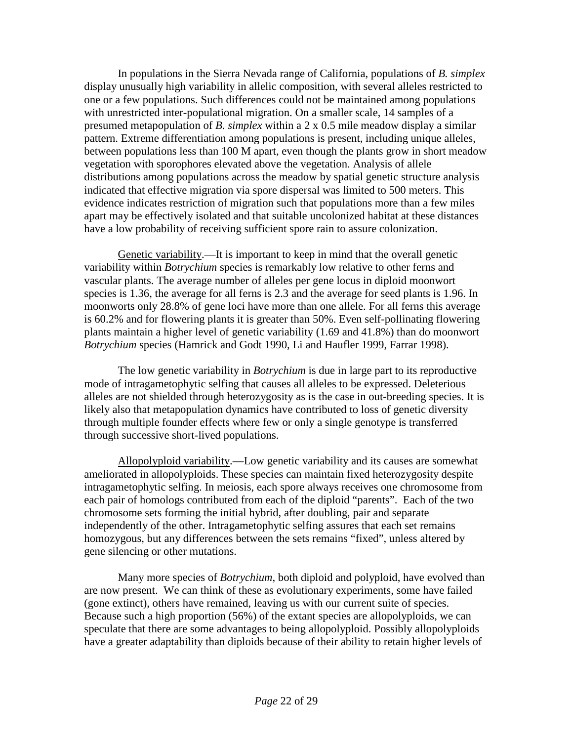In populations in the Sierra Nevada range of California, populations of *B. simplex* display unusually high variability in allelic composition, with several alleles restricted to one or a few populations. Such differences could not be maintained among populations with unrestricted inter-populational migration. On a smaller scale, 14 samples of a presumed metapopulation of *B. simplex* within a 2 x 0.5 mile meadow display a similar pattern. Extreme differentiation among populations is present, including unique alleles, between populations less than 100 M apart, even though the plants grow in short meadow vegetation with sporophores elevated above the vegetation. Analysis of allele distributions among populations across the meadow by spatial genetic structure analysis indicated that effective migration via spore dispersal was limited to 500 meters. This evidence indicates restriction of migration such that populations more than a few miles apart may be effectively isolated and that suitable uncolonized habitat at these distances have a low probability of receiving sufficient spore rain to assure colonization.

Genetic variability.—It is important to keep in mind that the overall genetic variability within *Botrychium* species is remarkably low relative to other ferns and vascular plants. The average number of alleles per gene locus in diploid moonwort species is 1.36, the average for all ferns is 2.3 and the average for seed plants is 1.96. In moonworts only 28.8% of gene loci have more than one allele. For all ferns this average is 60.2% and for flowering plants it is greater than 50%. Even self-pollinating flowering plants maintain a higher level of genetic variability (1.69 and 41.8%) than do moonwort *Botrychium* species (Hamrick and Godt 1990, Li and Haufler 1999, Farrar 1998).

The low genetic variability in *Botrychium* is due in large part to its reproductive mode of intragametophytic selfing that causes all alleles to be expressed. Deleterious alleles are not shielded through heterozygosity as is the case in out-breeding species. It is likely also that metapopulation dynamics have contributed to loss of genetic diversity through multiple founder effects where few or only a single genotype is transferred through successive short-lived populations.

Allopolyploid variability.—Low genetic variability and its causes are somewhat ameliorated in allopolyploids. These species can maintain fixed heterozygosity despite intragametophytic selfing. In meiosis, each spore always receives one chromosome from each pair of homologs contributed from each of the diploid "parents". Each of the two chromosome sets forming the initial hybrid, after doubling, pair and separate independently of the other. Intragametophytic selfing assures that each set remains homozygous, but any differences between the sets remains "fixed", unless altered by gene silencing or other mutations.

Many more species of *Botrychium*, both diploid and polyploid, have evolved than are now present. We can think of these as evolutionary experiments, some have failed (gone extinct), others have remained, leaving us with our current suite of species. Because such a high proportion (56%) of the extant species are allopolyploids, we can speculate that there are some advantages to being allopolyploid. Possibly allopolyploids have a greater adaptability than diploids because of their ability to retain higher levels of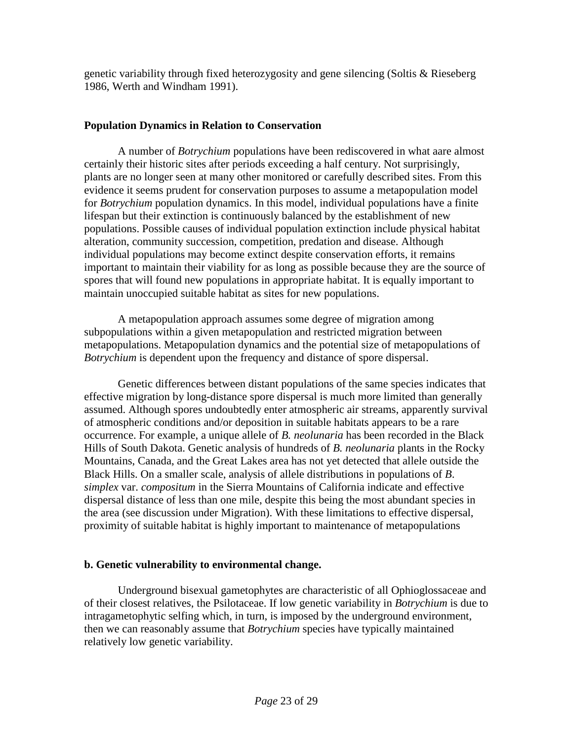genetic variability through fixed heterozygosity and gene silencing (Soltis & Rieseberg 1986, Werth and Windham 1991).

## **Population Dynamics in Relation to Conservation**

A number of *Botrychium* populations have been rediscovered in what aare almost certainly their historic sites after periods exceeding a half century. Not surprisingly, plants are no longer seen at many other monitored or carefully described sites. From this evidence it seems prudent for conservation purposes to assume a metapopulation model for *Botrychium* population dynamics. In this model, individual populations have a finite lifespan but their extinction is continuously balanced by the establishment of new populations. Possible causes of individual population extinction include physical habitat alteration, community succession, competition, predation and disease. Although individual populations may become extinct despite conservation efforts, it remains important to maintain their viability for as long as possible because they are the source of spores that will found new populations in appropriate habitat. It is equally important to maintain unoccupied suitable habitat as sites for new populations.

A metapopulation approach assumes some degree of migration among subpopulations within a given metapopulation and restricted migration between metapopulations. Metapopulation dynamics and the potential size of metapopulations of *Botrychium* is dependent upon the frequency and distance of spore dispersal.

Genetic differences between distant populations of the same species indicates that effective migration by long-distance spore dispersal is much more limited than generally assumed. Although spores undoubtedly enter atmospheric air streams, apparently survival of atmospheric conditions and/or deposition in suitable habitats appears to be a rare occurrence. For example, a unique allele of *B. neolunaria* has been recorded in the Black Hills of South Dakota. Genetic analysis of hundreds of *B. neolunaria* plants in the Rocky Mountains, Canada, and the Great Lakes area has not yet detected that allele outside the Black Hills. On a smaller scale, analysis of allele distributions in populations of *B*. *simplex* var. *compositum* in the Sierra Mountains of California indicate and effective dispersal distance of less than one mile, despite this being the most abundant species in the area (see discussion under Migration). With these limitations to effective dispersal, proximity of suitable habitat is highly important to maintenance of metapopulations

### **b. Genetic vulnerability to environmental change.**

Underground bisexual gametophytes are characteristic of all Ophioglossaceae and of their closest relatives, the Psilotaceae. If low genetic variability in *Botrychium* is due to intragametophytic selfing which, in turn, is imposed by the underground environment, then we can reasonably assume that *Botrychium* species have typically maintained relatively low genetic variability.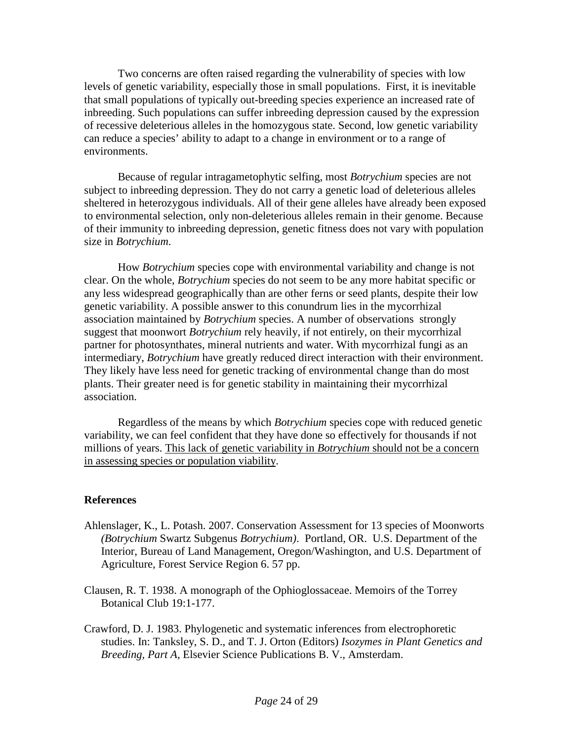Two concerns are often raised regarding the vulnerability of species with low levels of genetic variability, especially those in small populations. First, it is inevitable that small populations of typically out-breeding species experience an increased rate of inbreeding. Such populations can suffer inbreeding depression caused by the expression of recessive deleterious alleles in the homozygous state. Second, low genetic variability can reduce a species' ability to adapt to a change in environment or to a range of environments.

Because of regular intragametophytic selfing, most *Botrychium* species are not subject to inbreeding depression. They do not carry a genetic load of deleterious alleles sheltered in heterozygous individuals. All of their gene alleles have already been exposed to environmental selection, only non-deleterious alleles remain in their genome. Because of their immunity to inbreeding depression, genetic fitness does not vary with population size in *Botrychium*.

How *Botrychium* species cope with environmental variability and change is not clear. On the whole, *Botrychium* species do not seem to be any more habitat specific or any less widespread geographically than are other ferns or seed plants, despite their low genetic variability. A possible answer to this conundrum lies in the mycorrhizal association maintained by *Botrychium* species. A number of observations strongly suggest that moonwort *Botrychium* rely heavily, if not entirely, on their mycorrhizal partner for photosynthates, mineral nutrients and water. With mycorrhizal fungi as an intermediary, *Botrychium* have greatly reduced direct interaction with their environment. They likely have less need for genetic tracking of environmental change than do most plants. Their greater need is for genetic stability in maintaining their mycorrhizal association.

Regardless of the means by which *Botrychium* species cope with reduced genetic variability, we can feel confident that they have done so effectively for thousands if not millions of years. This lack of genetic variability in *Botrychium* should not be a concern in assessing species or population viability.

### **References**

- Ahlenslager, K., L. Potash. 2007. Conservation Assessment for 13 species of Moonworts *(Botrychium* Swartz Subgenus *Botrychium)*. Portland, OR. U.S. Department of the Interior, Bureau of Land Management, Oregon/Washington, and U.S. Department of Agriculture, Forest Service Region 6. 57 pp.
- Clausen, R. T. 1938. A monograph of the Ophioglossaceae. Memoirs of the Torrey Botanical Club 19:1-177.
- Crawford, D. J. 1983. Phylogenetic and systematic inferences from electrophoretic studies. In: Tanksley, S. D., and T. J. Orton (Editors) *Isozymes in Plant Genetics and Breeding, Part A*, Elsevier Science Publications B. V., Amsterdam.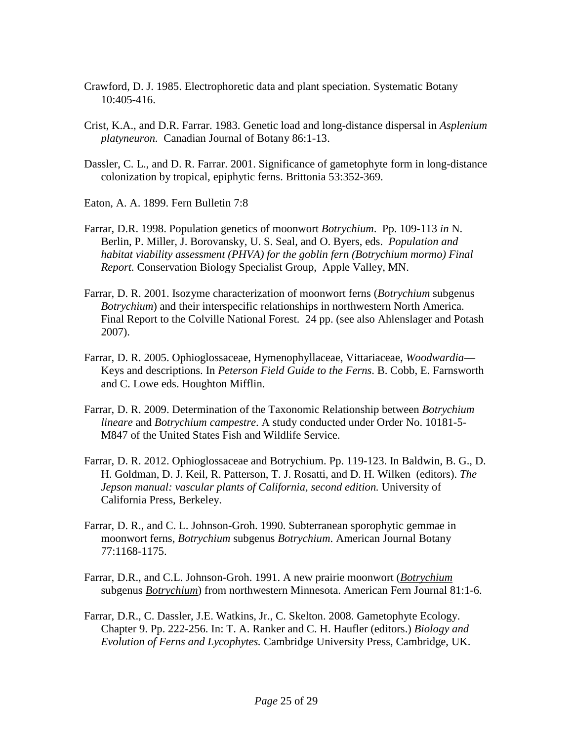- Crawford, D. J. 1985. Electrophoretic data and plant speciation. Systematic Botany 10:405-416.
- Crist, K.A., and D.R. Farrar. 1983. Genetic load and long-distance dispersal in *Asplenium platyneuron.* Canadian Journal of Botany 86:1-13.
- Dassler, C. L., and D. R. Farrar. 2001. Significance of gametophyte form in long-distance colonization by tropical, epiphytic ferns. Brittonia 53:352-369.
- Eaton, A. A. 1899. Fern Bulletin 7:8
- Farrar, D.R. 1998. Population genetics of moonwort *Botrychium*. Pp. 109-113 *in* N. Berlin, P. Miller, J. Borovansky, U. S. Seal, and O. Byers, eds. *Population and habitat viability assessment (PHVA) for the goblin fern (Botrychium mormo) Final Report.* Conservation Biology Specialist Group, Apple Valley, MN.
- Farrar, D. R. 2001. Isozyme characterization of moonwort ferns (*Botrychium* subgenus *Botrychium*) and their interspecific relationships in northwestern North America. Final Report to the Colville National Forest. 24 pp. (see also Ahlenslager and Potash 2007).
- Farrar, D. R. 2005. Ophioglossaceae, Hymenophyllaceae, Vittariaceae, *Woodwardia* Keys and descriptions. In *Peterson Field Guide to the Ferns*. B. Cobb, E. Farnsworth and C. Lowe eds. Houghton Mifflin.
- Farrar, D. R. 2009. Determination of the Taxonomic Relationship between *Botrychium lineare* and *Botrychium campestre*. A study conducted under Order No. 10181-5- M847 of the United States Fish and Wildlife Service.
- Farrar, D. R. 2012. Ophioglossaceae and Botrychium. Pp. 119-123. In Baldwin, B. G., D. H. Goldman, D. J. Keil, R. Patterson, T. J. Rosatti, and D. H. Wilken (editors). *The Jepson manual: vascular plants of California, second edition.* University of California Press, Berkeley.
- Farrar, D. R., and C. L. Johnson-Groh. 1990. Subterranean sporophytic gemmae in moonwort ferns, *Botrychium* subgenus *Botrychium*. American Journal Botany 77:1168-1175.
- Farrar, D.R., and C.L. Johnson-Groh. 1991. A new prairie moonwort (*Botrychium* subgenus *Botrychium*) from northwestern Minnesota. American Fern Journal 81:1-6.
- Farrar, D.R., C. Dassler, J.E. Watkins, Jr., C. Skelton. 2008. Gametophyte Ecology. Chapter 9. Pp. 222-256. In: T. A. Ranker and C. H. Haufler (editors.) *Biology and Evolution of Ferns and Lycophytes.* Cambridge University Press, Cambridge, UK.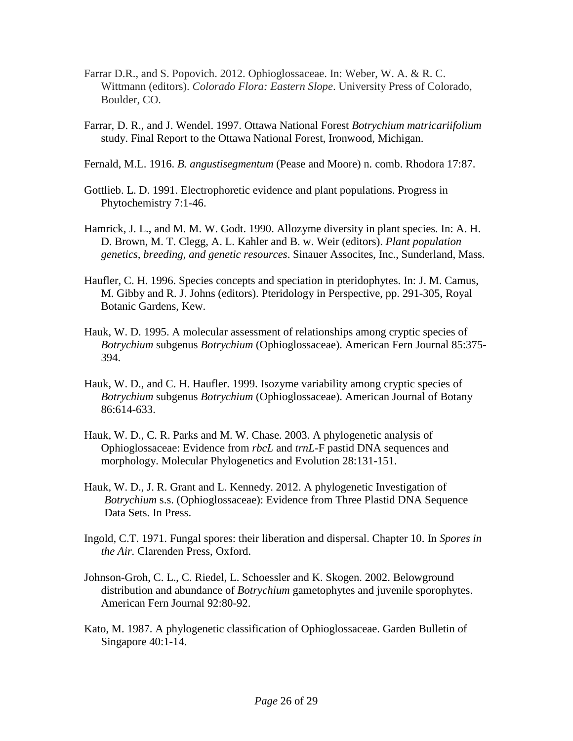- Farrar D.R., and S. Popovich. 2012. Ophioglossaceae. In: Weber, W. A. & R. C. Wittmann (editors). *Colorado Flora: Eastern Slope*. University Press of Colorado, Boulder, CO.
- Farrar, D. R., and J. Wendel. 1997. Ottawa National Forest *Botrychium matricariifolium* study. Final Report to the Ottawa National Forest, Ironwood, Michigan.
- Fernald, M.L. 1916. *B. angustisegmentum* (Pease and Moore) n. comb. Rhodora 17:87.
- Gottlieb. L. D. 1991. Electrophoretic evidence and plant populations. Progress in Phytochemistry 7:1-46.
- Hamrick, J. L., and M. M. W. Godt. 1990. Allozyme diversity in plant species. In: A. H. D. Brown, M. T. Clegg, A. L. Kahler and B. w. Weir (editors). *Plant population genetics, breeding, and genetic resources*. Sinauer Assocites, Inc., Sunderland, Mass.
- Haufler, C. H. 1996. Species concepts and speciation in pteridophytes. In: J. M. Camus, M. Gibby and R. J. Johns (editors). Pteridology in Perspective, pp. 291-305, Royal Botanic Gardens, Kew.
- Hauk, W. D. 1995. A molecular assessment of relationships among cryptic species of *Botrychium* subgenus *Botrychium* (Ophioglossaceae). American Fern Journal 85:375- 394.
- Hauk, W. D., and C. H. Haufler. 1999. Isozyme variability among cryptic species of *Botrychium* subgenus *Botrychium* (Ophioglossaceae). American Journal of Botany 86:614-633.
- Hauk, W. D., C. R. Parks and M. W. Chase. 2003. A phylogenetic analysis of Ophioglossaceae: Evidence from *rbcL* and *trnL*-F pastid DNA sequences and morphology. Molecular Phylogenetics and Evolution 28:131-151.
- Hauk, W. D., J. R. Grant and L. Kennedy. 2012. A phylogenetic Investigation of *Botrychium* s.s. (Ophioglossaceae): Evidence from Three Plastid DNA Sequence Data Sets. In Press.
- Ingold, C.T. 1971. Fungal spores: their liberation and dispersal. Chapter 10. In *Spores in the Air.* Clarenden Press, Oxford.
- Johnson-Groh, C. L., C. Riedel, L. Schoessler and K. Skogen. 2002. Belowground distribution and abundance of *Botrychium* gametophytes and juvenile sporophytes. American Fern Journal 92:80-92.
- Kato, M. 1987. A phylogenetic classification of Ophioglossaceae. Garden Bulletin of Singapore 40:1-14.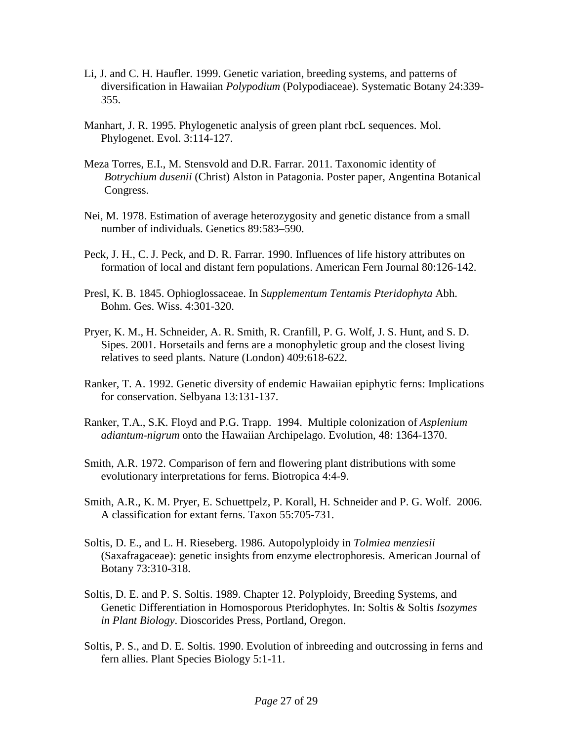- Li, J. and C. H. Haufler. 1999. Genetic variation, breeding systems, and patterns of diversification in Hawaiian *Polypodium* (Polypodiaceae). Systematic Botany 24:339- 355.
- Manhart, J. R. 1995. Phylogenetic analysis of green plant rbcL sequences. Mol. Phylogenet. Evol. 3:114-127.
- Meza Torres, E.I., M. Stensvold and D.R. Farrar. 2011. Taxonomic identity of *Botrychium dusenii* (Christ) Alston in Patagonia. Poster paper, Angentina Botanical Congress.
- Nei, M. 1978. Estimation of average heterozygosity and genetic distance from a small number of individuals. Genetics 89:583–590.
- Peck, J. H., C. J. Peck, and D. R. Farrar. 1990. Influences of life history attributes on formation of local and distant fern populations. American Fern Journal 80:126-142.
- Presl, K. B. 1845. Ophioglossaceae. In *Supplementum Tentamis Pteridophyta* Abh. Bohm. Ges. Wiss. 4:301-320.
- Pryer, K. M., H. Schneider, A. R. Smith, R. Cranfill, P. G. Wolf, J. S. Hunt, and S. D. Sipes. 2001. Horsetails and ferns are a monophyletic group and the closest living relatives to seed plants. Nature (London) 409:618-622.
- Ranker, T. A. 1992. Genetic diversity of endemic Hawaiian epiphytic ferns: Implications for conservation. Selbyana 13:131-137.
- Ranker, T.A., S.K. Floyd and P.G. Trapp. 1994. Multiple colonization of *Asplenium adiantum-nigrum* onto the Hawaiian Archipelago. Evolution, 48: 1364-1370.
- Smith, A.R. 1972. Comparison of fern and flowering plant distributions with some evolutionary interpretations for ferns. Biotropica 4:4-9.
- Smith, A.R., K. M. Pryer, E. Schuettpelz, P. Korall, H. Schneider and P. G. Wolf. 2006. A classification for extant ferns. Taxon 55:705-731.
- Soltis, D. E., and L. H. Rieseberg. 1986. Autopolyploidy in *Tolmiea menziesii* (Saxafragaceae): genetic insights from enzyme electrophoresis. American Journal of Botany 73:310-318.
- Soltis, D. E. and P. S. Soltis. 1989. Chapter 12. Polyploidy, Breeding Systems, and Genetic Differentiation in Homosporous Pteridophytes. In: Soltis & Soltis *Isozymes in Plant Biology*. Dioscorides Press, Portland, Oregon.
- Soltis, P. S., and D. E. Soltis. 1990. Evolution of inbreeding and outcrossing in ferns and fern allies. Plant Species Biology 5:1-11.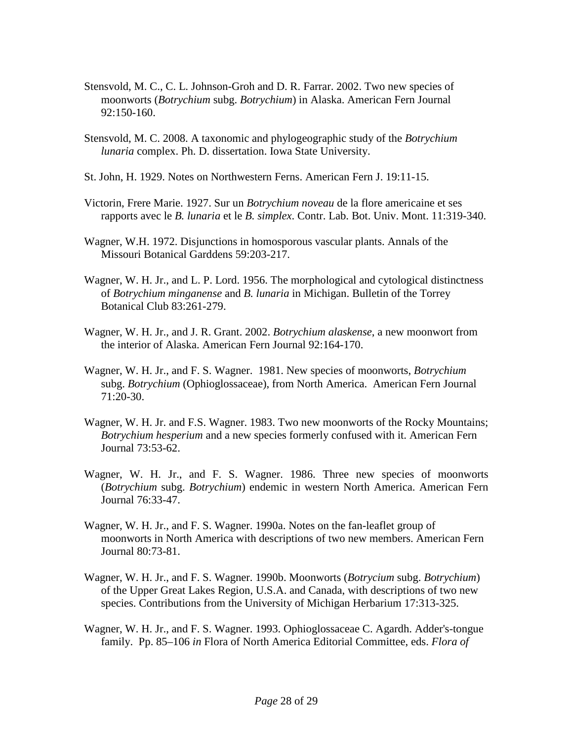- Stensvold, M. C., C. L. Johnson-Groh and D. R. Farrar. 2002. Two new species of moonworts (*Botrychium* subg. *Botrychium*) in Alaska. American Fern Journal 92:150-160.
- Stensvold, M. C. 2008. A taxonomic and phylogeographic study of the *Botrychium lunaria* complex. Ph. D. dissertation. Iowa State University.
- St. John, H. 1929. Notes on Northwestern Ferns. American Fern J. 19:11-15.
- Victorin, Frere Marie. 1927. Sur un *Botrychium noveau* de la flore americaine et ses rapports avec le *B. lunaria* et le *B. simplex*. Contr. Lab. Bot. Univ. Mont. 11:319-340.
- Wagner, W.H. 1972. Disjunctions in homosporous vascular plants. Annals of the Missouri Botanical Garddens 59:203-217.
- Wagner, W. H. Jr., and L. P. Lord. 1956. The morphological and cytological distinctness of *Botrychium minganense* and *B. lunaria* in Michigan. Bulletin of the Torrey Botanical Club 83:261-279.
- Wagner, W. H. Jr., and J. R. Grant. 2002. *Botrychium alaskense*, a new moonwort from the interior of Alaska. American Fern Journal 92:164-170.
- Wagner, W. H. Jr., and F. S. Wagner. 1981. New species of moonworts, *Botrychium* subg. *Botrychium* (Ophioglossaceae), from North America. American Fern Journal 71:20-30.
- Wagner, W. H. Jr. and F.S. Wagner. 1983. Two new moonworts of the Rocky Mountains; *Botrychium hesperium* and a new species formerly confused with it. American Fern Journal 73:53-62.
- Wagner, W. H. Jr., and F. S. Wagner. 1986. Three new species of moonworts (*Botrychium* subg. *Botrychium*) endemic in western North America. American Fern Journal 76:33-47.
- Wagner, W. H. Jr., and F. S. Wagner. 1990a. Notes on the fan-leaflet group of moonworts in North America with descriptions of two new members. American Fern Journal 80:73-81.
- Wagner, W. H. Jr., and F. S. Wagner. 1990b. Moonworts (*Botrycium* subg. *Botrychium*) of the Upper Great Lakes Region, U.S.A. and Canada, with descriptions of two new species. Contributions from the University of Michigan Herbarium 17:313-325.
- Wagner, W. H. Jr., and F. S. Wagner. 1993. Ophioglossaceae C. Agardh. Adder's-tongue family. Pp. 85–106 *in* Flora of North America Editorial Committee, eds. *Flora of*